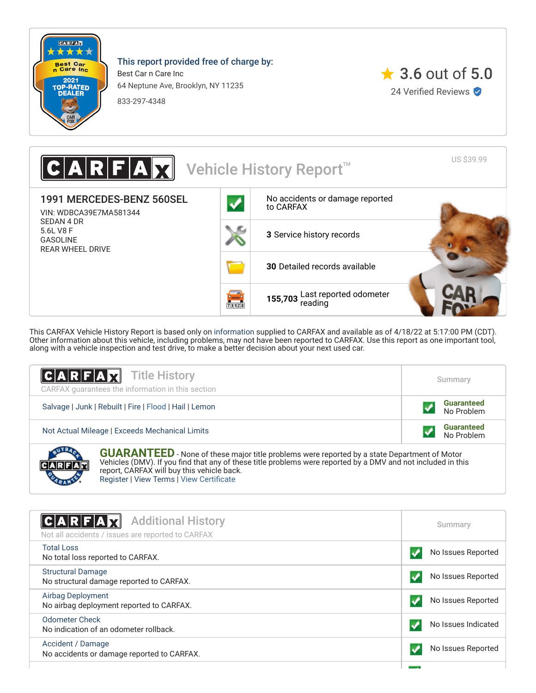

**CARANTE** 

This report provided free of charge by:

Best Car n Care Inc 64 Neptune Ave, Brooklyn, NY 11235

833-297-4348



US \$39.99 Vehicle History Report<sup>™</sup> 1991 MERCEDES-BENZ 560SEL [No accidents or damage reported](#page-0-0) to CARFAX VIN: WDBCA39E7MA581344 SEDAN 4 DR 5.6L V8 F **3** [Service history records](#page-1-0) GASOLINE REAR WHEEL DRIVE **30** [Detailed records available](#page-1-0) **155,703** [Last reported odometer](#page-1-0)  $731128$ 

This CARFAX Vehicle History Report is based only on [information](http://www.carfax.com/company/vhr-data-sources) supplied to CARFAX and available as of 4/18/22 at 5:17:00 PM (CDT). Other information about this vehicle, including problems, may not have been reported to CARFAX. Use this report as one important tool, along with a vehicle inspection and test drive, to make a better decision about your next used car.

| <b>CARFAX</b> Title History<br>CARFAX quarantees the information in this section                                                                                                                                                                               | Summary                         |  |  |  |
|----------------------------------------------------------------------------------------------------------------------------------------------------------------------------------------------------------------------------------------------------------------|---------------------------------|--|--|--|
| Salvage   Junk   Rebuilt   Fire   Flood   Hail   Lemon                                                                                                                                                                                                         | <b>Guaranteed</b><br>No Problem |  |  |  |
| Not Actual Mileage   Exceeds Mechanical Limits                                                                                                                                                                                                                 | <b>Guaranteed</b><br>No Problem |  |  |  |
| <b>GUARANTEED</b> - None of these major title problems were reported by a state Department of Motor Vehicles (DMV). If you find that any of these title problems were reported by a DMV and not included in this<br>report, CARFAX will buy this vehicle back. |                                 |  |  |  |

[Register](https://www.carfax.com/Service/bbg) | [View Terms](http://www.carfaxonline.com/legal/bbgTerms) | [View Certificate](https://www.carfaxonline.com/vhrs/WDBCA39E7MA581344)

<span id="page-0-0"></span>

| $ C A R F A \vec{\chi}$<br><b>Additional History</b><br>Not all accidents / issues are reported to CARFAX | Summary             |
|-----------------------------------------------------------------------------------------------------------|---------------------|
| <b>Total Loss</b><br>No total loss reported to CARFAX.                                                    | No Issues Reported  |
| <b>Structural Damage</b><br>No structural damage reported to CARFAX.                                      | No Issues Reported  |
| <b>Airbag Deployment</b><br>No airbag deployment reported to CARFAX.                                      | No Issues Reported  |
| Odometer Check<br>No indication of an odometer rollback.                                                  | No Issues Indicated |
| Accident / Damage<br>No accidents or damage reported to CARFAX.                                           | No Issues Reported  |
|                                                                                                           |                     |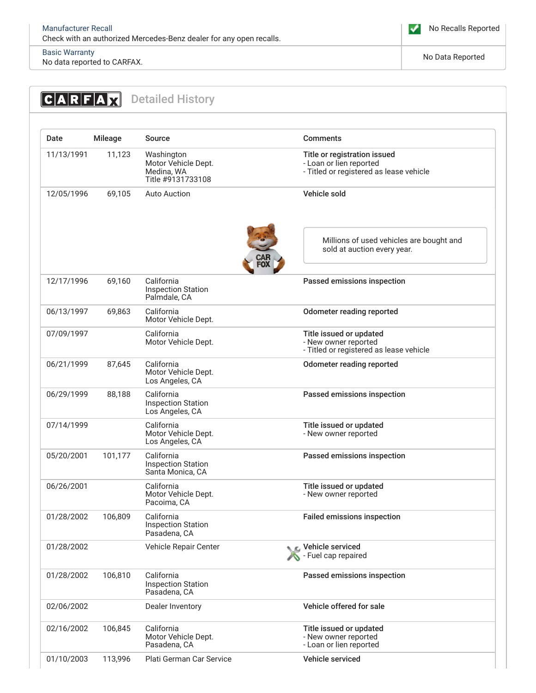# [Basic Warranty](https://www.carfaxonline.com/vhrs/defBasicWarranty)

Basic warranty<br>No data reported to CARFAX.

<span id="page-1-0"></span>

| Date       | <b>Mileage</b> | Source                                                               | <b>Comments</b>                                                                                    |
|------------|----------------|----------------------------------------------------------------------|----------------------------------------------------------------------------------------------------|
| 11/13/1991 | 11,123         | Washington<br>Motor Vehicle Dept.<br>Medina, WA<br>Title #9131733108 | Title or registration issued<br>- Loan or lien reported<br>- Titled or registered as lease vehicle |
| 12/05/1996 | 69,105         | <b>Auto Auction</b>                                                  | Vehicle sold                                                                                       |
|            |                |                                                                      | Millions of used vehicles are bought and<br>sold at auction every year.                            |
| 12/17/1996 | 69,160         | California<br><b>Inspection Station</b><br>Palmdale, CA              | Passed emissions inspection                                                                        |
| 06/13/1997 | 69,863         | California<br>Motor Vehicle Dept.                                    | <b>Odometer reading reported</b>                                                                   |
| 07/09/1997 |                | California<br>Motor Vehicle Dept.                                    | Title issued or updated<br>- New owner reported<br>- Titled or registered as lease vehicle         |
| 06/21/1999 | 87,645         | California<br>Motor Vehicle Dept.<br>Los Angeles, CA                 | Odometer reading reported                                                                          |
| 06/29/1999 | 88,188         | California<br><b>Inspection Station</b><br>Los Angeles, CA           | Passed emissions inspection                                                                        |
| 07/14/1999 |                | California<br>Motor Vehicle Dept.<br>Los Angeles, CA                 | Title issued or updated<br>- New owner reported                                                    |
| 05/20/2001 | 101,177        | California<br><b>Inspection Station</b><br>Santa Monica, CA          | Passed emissions inspection                                                                        |
| 06/26/2001 |                | California<br>Motor Vehicle Dept.<br>Pacoima, CA                     | Title issued or updated<br>- New owner reported                                                    |
| 01/28/2002 | 106,809        | California<br><b>Inspection Station</b><br>Pasadena, CA              | <b>Failed emissions inspection</b>                                                                 |
| 01/28/2002 |                | Vehicle Repair Center                                                | C Vehicle serviced<br>Fuel cap repaired                                                            |
| 01/28/2002 | 106,810        | California<br><b>Inspection Station</b><br>Pasadena, CA              | Passed emissions inspection                                                                        |
| 02/06/2002 |                | Dealer Inventory                                                     | Vehicle offered for sale                                                                           |
| 02/16/2002 | 106,845        | California<br>Motor Vehicle Dept.<br>Pasadena, CA                    | Title issued or updated<br>- New owner reported<br>- Loan or lien reported                         |
| 01/10/2003 | 113,996        | Plati German Car Service                                             | Vehicle serviced                                                                                   |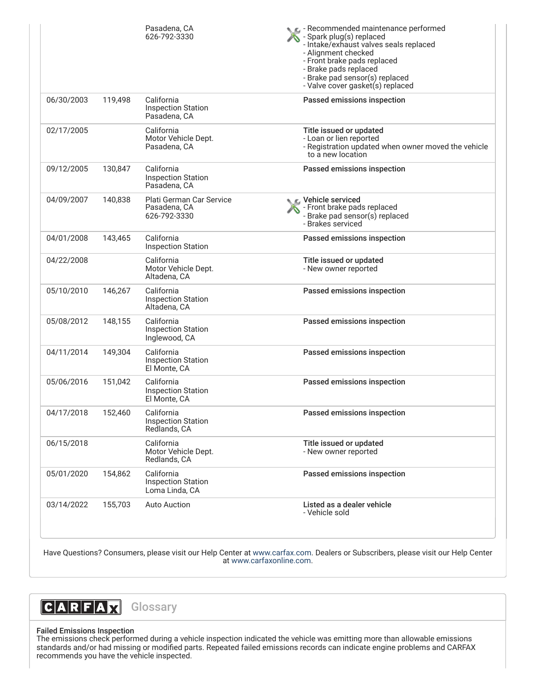|            |         | Pasadena, CA<br>626-792-3330                              | Recommended maintenance performed<br>- Spark plug(s) replaced<br>- Intake/exhaust valves seals replaced<br>- Alignment checked<br>- Front brake pads replaced<br>- Brake pads replaced<br>- Brake pad sensor(s) replaced<br>- Valve cover gasket(s) replaced |
|------------|---------|-----------------------------------------------------------|--------------------------------------------------------------------------------------------------------------------------------------------------------------------------------------------------------------------------------------------------------------|
| 06/30/2003 | 119,498 | California<br><b>Inspection Station</b><br>Pasadena, CA   | Passed emissions inspection                                                                                                                                                                                                                                  |
| 02/17/2005 |         | California<br>Motor Vehicle Dept.<br>Pasadena, CA         | Title issued or updated<br>- Loan or lien reported<br>- Registration updated when owner moved the vehicle<br>to a new location                                                                                                                               |
| 09/12/2005 | 130,847 | California<br><b>Inspection Station</b><br>Pasadena, CA   | Passed emissions inspection                                                                                                                                                                                                                                  |
| 04/09/2007 | 140,838 | Plati German Car Service<br>Pasadena, CA<br>626-792-3330  | Vehicle serviced<br>- Front brake pads replaced<br>- Brake pad sensor(s) replaced<br>- Brakes serviced                                                                                                                                                       |
| 04/01/2008 | 143,465 | California<br><b>Inspection Station</b>                   | Passed emissions inspection                                                                                                                                                                                                                                  |
| 04/22/2008 |         | California<br>Motor Vehicle Dept.<br>Altadena, CA         | Title issued or updated<br>- New owner reported                                                                                                                                                                                                              |
| 05/10/2010 | 146,267 | California<br><b>Inspection Station</b><br>Altadena, CA   | Passed emissions inspection                                                                                                                                                                                                                                  |
| 05/08/2012 | 148,155 | California<br><b>Inspection Station</b><br>Inglewood, CA  | Passed emissions inspection                                                                                                                                                                                                                                  |
| 04/11/2014 | 149,304 | California<br><b>Inspection Station</b><br>El Monte, CA   | Passed emissions inspection                                                                                                                                                                                                                                  |
| 05/06/2016 | 151,042 | California<br><b>Inspection Station</b><br>El Monte, CA   | Passed emissions inspection                                                                                                                                                                                                                                  |
| 04/17/2018 | 152,460 | California<br><b>Inspection Station</b><br>Redlands, CA   | Passed emissions inspection                                                                                                                                                                                                                                  |
| 06/15/2018 |         | California<br>Motor Vehicle Dept.<br>Redlands, CA         | Title issued or updated<br>- New owner reported                                                                                                                                                                                                              |
| 05/01/2020 | 154,862 | California<br><b>Inspection Station</b><br>Loma Linda, CA | Passed emissions inspection                                                                                                                                                                                                                                  |
| 03/14/2022 | 155,703 | <b>Auto Auction</b>                                       | Listed as a dealer vehicle<br>- Vehicle sold                                                                                                                                                                                                                 |

Have Questions? Consumers, please visit our Help Center at [www.carfax.com](http://www.carfax.com/help). Dealers or Subscribers, please visit our Help Center at [www.carfaxonline.com.](http://www.carfaxonline.com/)



## Failed Emissions Inspection

The emissions check performed during a vehicle inspection indicated the vehicle was emitting more than allowable emissions standards and/or had missing or modified parts. Repeated failed emissions records can indicate engine problems and CARFAX recommends you have the vehicle inspected.